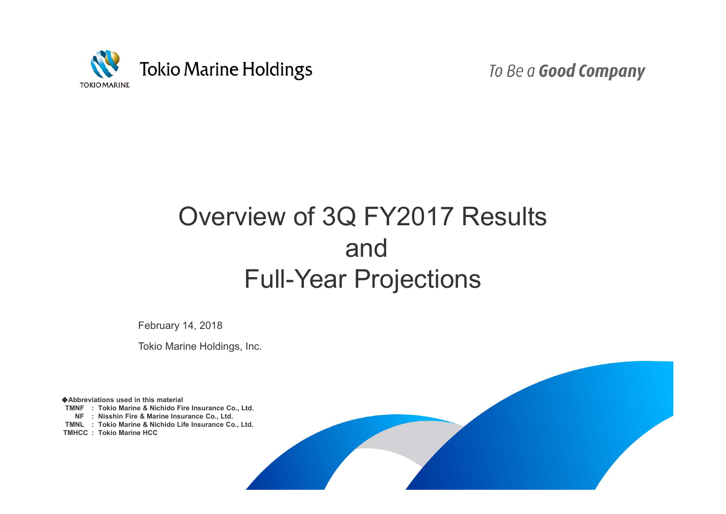

To Be a Good Company

# Overview of 3Q FY2017 Results and Full-Year Projections

February 14, 2018

Tokio Marine Holdings, Inc.

◆**Abbreviations used in this material TMNF : Tokio Marine & Nichido Fire Insurance Co., Ltd. NF : Nisshin Fire & Marine Insurance Co., Ltd. TMNL : Tokio Marine & Nichido Life Insurance Co., Ltd. TMHCC : Tokio Marine HCC**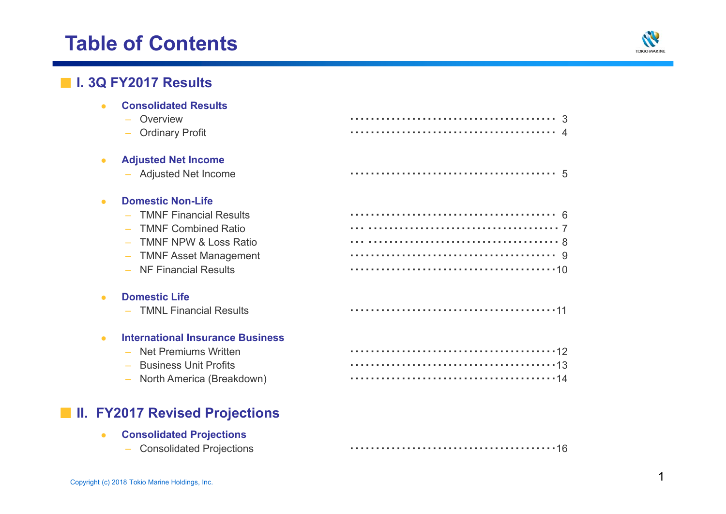# **Table of Contents**



## ■ **I. 3Q FY2017 Results**

| <b>Consolidated Results</b>                               |  |
|-----------------------------------------------------------|--|
| Overview                                                  |  |
| <b>Ordinary Profit</b>                                    |  |
| <b>Adjusted Net Income</b>                                |  |
| - Adjusted Net Income                                     |  |
| <b>Domestic Non-Life</b>                                  |  |
| <b>TMNF Financial Results</b><br>$\overline{\phantom{a}}$ |  |
| - TMNF Combined Ratio                                     |  |
| - TMNF NPW & Loss Ratio                                   |  |
| <b>TMNF Asset Management</b>                              |  |
| NF Financial Results                                      |  |
| <b>Domestic Life</b>                                      |  |
| <b>TMNL Financial Results</b>                             |  |
| <b>International Insurance Business</b>                   |  |
| <b>Net Premiums Written</b>                               |  |
| <b>Business Unit Profits</b>                              |  |
| - North America (Breakdown)                               |  |

## ■ **II. FY2017 Revised Projections**

**Consolidated Projections**

| comodification : rejections |  |
|-----------------------------|--|
| - Consolidated Projections  |  |

 $\bullet$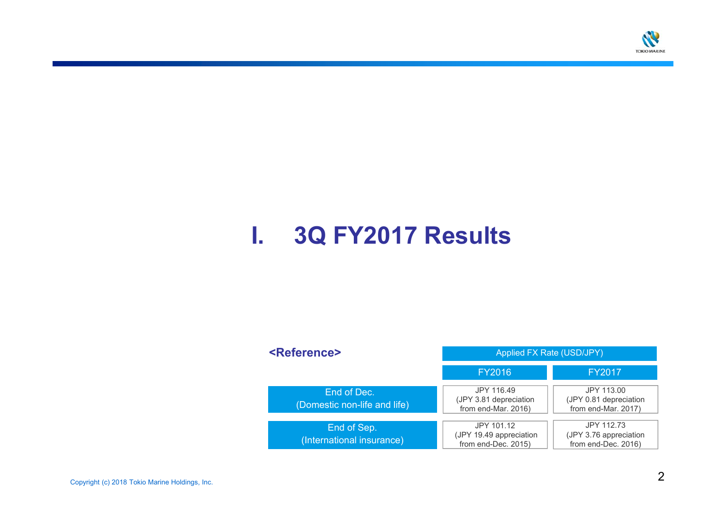

# **I. 3Q FY2017 Results**

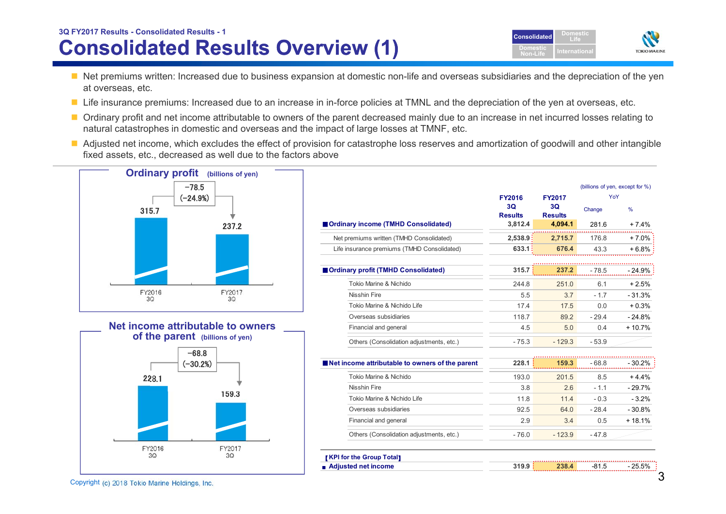## **Consolidated Results Overview (1) 3Q FY2017 Results - Consolidated Results - <sup>1</sup> Consolidated**



- Net premiums written: Increased due to business expansion at domestic non-life and overseas subsidiaries and the depreciation of the yen at overseas, etc.
- Life insurance premiums: Increased due to an increase in in-force policies at TMNL and the depreciation of the yen at overseas, etc.
- Ordinary profit and net income attributable to owners of the parent decreased mainly due to an increase in net incurred losses relating to natural catastrophes in domestic and overseas and the impact of large losses at TMNF, etc.
- Adjusted net income, which excludes the effect of provision for catastrophe loss reserves and amortization of goodwill and other intangible fixed assets, etc., decreased as well due to the factors above





|                                                 | <b>FY2016</b>                   | <b>FY2017</b>                   |                 | (billions of yen, except for %)<br>YoY |
|-------------------------------------------------|---------------------------------|---------------------------------|-----------------|----------------------------------------|
| Ordinary income (TMHD Consolidated)             | 3Q<br><b>Results</b><br>3,812.4 | 3Q<br><b>Results</b><br>4.094.1 | Change<br>281.6 | $\%$<br>$+7.4%$                        |
| Net premiums written (TMHD Consolidated)        | 2,538.9:                        | 2,715.7                         | 176.8           | $+7.0%$                                |
| Life insurance premiums (TMHD Consolidated)     | 633.1:                          | 676.4                           | 43.3            | $+6.8%$                                |
| Ordinary profit (TMHD Consolidated)             | 315.7                           | 237.2                           | $-78.5$         | $-24.9%$                               |
| Tokio Marine & Nichido                          | 244.8                           | 251.0                           | 6.1             | $+2.5%$                                |
| <b>Nisshin Fire</b>                             | 5.5                             | 3.7                             | $-1.7$          | $-31.3%$                               |
| Tokio Marine & Nichido Life                     | 17.4                            | 17.5                            | 0.0             | $+0.3%$                                |
| Overseas subsidiaries                           | 118.7                           | 89.2                            | $-29.4$         | $-24.8%$                               |
| Financial and general                           | 4.5                             | 5.0                             | 0.4             | $+10.7%$                               |
| Others (Consolidation adjustments, etc.)        | $-75.3$                         | $-129.3$                        | $-53.9$         |                                        |
| Net income attributable to owners of the parent | 228.1                           | 159.3                           | $-68.8$         | $-30.2%$                               |
| Tokio Marine & Nichido                          | 193.0                           | 201.5                           | 8.5             | $+4.4%$                                |
| <b>Nisshin Fire</b>                             | 3.8                             | 2.6                             | $-1.1$          | $-29.7%$                               |
| Tokio Marine & Nichido Life                     | 11.8                            | 11.4                            | $-0.3$          | $-3.2%$                                |
| Overseas subsidiaries                           | 92.5                            | 64.0                            | $-28.4$         | $-30.8%$                               |
| Financial and general                           | 2.9                             | 3.4                             | 0.5             | $+18.1%$                               |
| Others (Consolidation adjustments, etc.)        | $-76.0$                         | $-123.9$                        | $-47.8$         |                                        |
| <b>[KPI for the Group Total]</b>                |                                 |                                 |                 |                                        |
| Adjusted net income                             | 319.9                           | 238.4                           | $-81.5$         | $-25.5%$                               |

Copyright (c) 2018 Tokio Marine Holdings, Inc.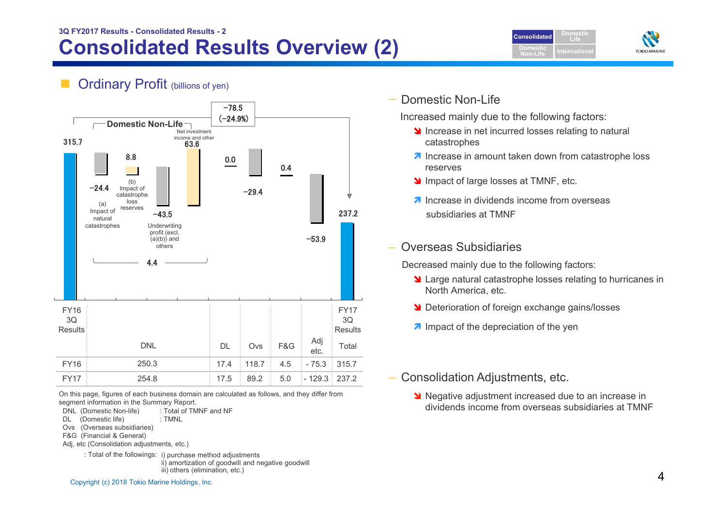## **Consolidated Results Overview (2) 3Q FY2017 Results - Consolidated Results - <sup>2</sup> Consolidated**





### **Ordinary Profit** (billions of yen)



On this page, figures of each business domain are calculated as follows, and they differ from segment information in the Summary Report.

- DNL (Domestic Non-life) : Total of TMNF and NF
- DL (Domestic life) : TMNL
- Ovs (Overseas subsidiaries)
- F&G (Financial & General)

Adj, etc (Consolidation adjustments, etc.)

: Total of the followings: i) purchase method adjustments

ii) amortization of goodwill and negative goodwill iii) others (elimination, etc.)

Copyright (c) 2018 Tokio Marine Holdings, Inc. 4 Copyright (c) 2018 Tokio Marine Holdings, Inc.

#### — Domestic Non-Life

Increased mainly due to the following factors:

- Increase in net incurred losses relating to natural catastrophes
- $\lambda$  Increase in amount taken down from catastrophe loss reserves
- Impact of large losses at TMNF, etc.
- $\lambda$  Increase in dividends income from overseas subsidiaries at TMNF

#### Overseas Subsidiaries

Decreased mainly due to the following factors:

- **S** Large natural catastrophe losses relating to hurricanes in North America, etc.
- **N** Deterioration of foreign exchange gains/losses
- $\lambda$  Impact of the depreciation of the yen
- Consolidation Adjustments, etc.
	- Negative adjustment increased due to an increase in dividends income from overseas subsidiaries at TMNF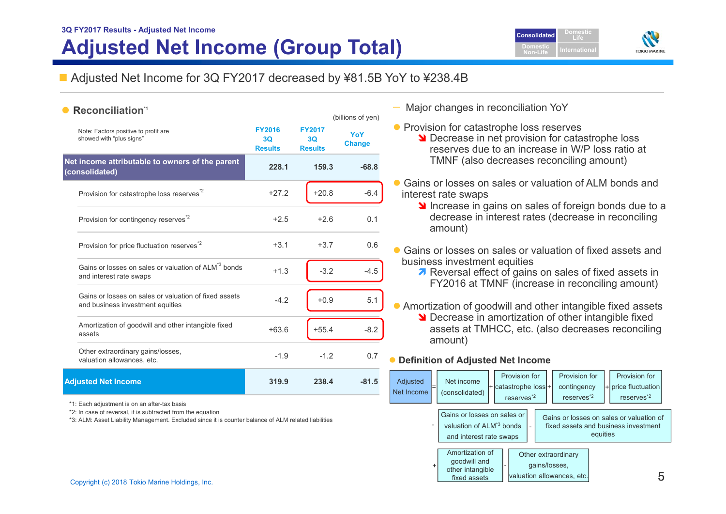## **3Q FY2017 Results - Adjusted Net Income Adjusted Net Income (Group Total)**



### ■ Adjusted Net Income for 3Q FY2017 decreased by ¥81.5B YoY to ¥238.4B

| ● Reconciliation <sup>1</sup>                                                              |                                       |                                       | (billions of yen)    | Major chang                                         |
|--------------------------------------------------------------------------------------------|---------------------------------------|---------------------------------------|----------------------|-----------------------------------------------------|
| Note: Factors positive to profit are<br>showed with "plus signs"                           | <b>FY2016</b><br>3Q<br><b>Results</b> | <b>FY2017</b><br>3Q<br><b>Results</b> | YoY<br><b>Change</b> | Provision fo<br><b>N</b> Decrea<br>reserv           |
| Net income attributable to owners of the parent<br>(consolidated)                          | 228.1                                 | 159.3                                 | $-68.8$              | <b>TMNF</b>                                         |
| Provision for catastrophe loss reserves <sup>2</sup>                                       | $+27.2$                               | $+20.8$                               | $-6.4$               | Gains or los<br>interest rate<br>$\triangle$ Increa |
| Provision for contingency reserves <sup>*2</sup>                                           | $+2.5$                                | $+2.6$                                | 0.1                  | decrea<br>amour                                     |
| Provision for price fluctuation reserves <sup>*2</sup>                                     | $+3.1$                                | $+3.7$                                | 0.6                  | Gains or los                                        |
| Gains or losses on sales or valuation of ALM <sup>3</sup> bonds<br>and interest rate swaps | $+1.3$                                | $-3.2$                                | $-4.5$               | business inv<br><b>7</b> Revers<br><b>FY201</b>     |
| Gains or losses on sales or valuation of fixed assets<br>and business investment equities  | $-4.2$                                | $+0.9$                                | 5.1                  | Amortizatior                                        |
| Amortization of goodwill and other intangible fixed<br>assets                              | $+63.6$                               | $+55.4$                               | $-8.2$               | <b>N</b> Decrea<br>assets<br>amour                  |
| Other extraordinary gains/losses,<br>valuation allowances, etc.                            | $-1.9$                                | $-1.2$                                | 0.7                  | Definition of                                       |
| <b>Adjusted Net Income</b>                                                                 | 319.9                                 | 238.4                                 | $-81.5$              | Adjusted<br><b>Net</b><br>Not Income<br>lann        |

\*1: Each adjustment is on an after-tax basis

\*2: In case of reversal, it is subtracted from the equation

\*3: ALM: Asset Liability Management. Excluded since it is counter balance of ALM related liabilities

- ges in reconciliation YoY
- r catastrophe loss reserves
	- ase in net provision for catastrophe loss res due to an increase in W/P loss ratio at (also decreases reconciling amount)
- sses on sales or valuation of ALM bonds and swaps
	- ase in gains on sales of foreign bonds due to a ase in interest rates (decrease in reconciling nt)
- sses on sales or valuation of fixed assets and estment equities
	- sal effect of gains on sales of fixed assets in 6 at TMNF (increase in reconciling amount)
- n of goodwill and other intangible fixed assets  $\alpha$ ase in amortization of other intangible fixed s at TMHCC, etc. (also decreases reconciling nt)

#### **Adjusted Net Income**

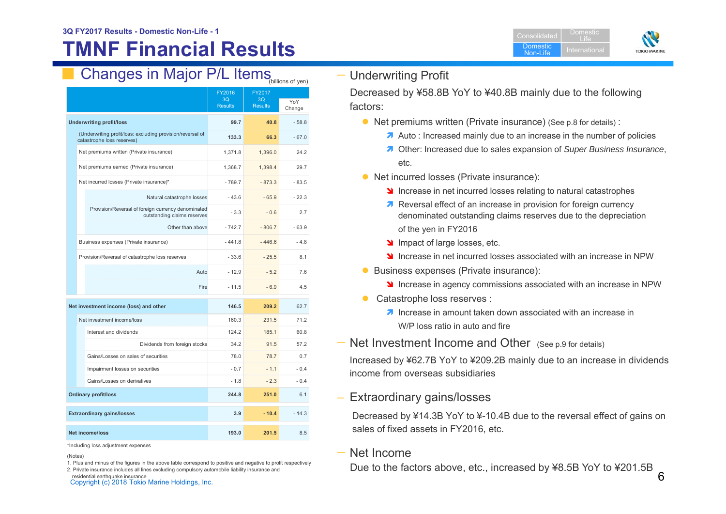# **TMNF Financial Results**

# ■ Changes in Major P/L Items <sub>(billions of yen)</sub> — Underwriting Profit

|                                                                                          | FY2016<br>3Q<br><b>Results</b> | FY2017<br>3Q<br><b>Results</b> | YoY<br>Change |
|------------------------------------------------------------------------------------------|--------------------------------|--------------------------------|---------------|
| <b>Underwriting profit/loss</b>                                                          | 99.7                           | 40.8                           | $-58.8$       |
| (Underwriting profit/loss: excluding provision/reversal of<br>catastrophe loss reserves) | 133.3                          | 66.3                           | $-67.0$       |
| Net premiums written (Private insurance)                                                 | 1,371.8                        | 1,396.0                        | 24.2          |
| Net premiums earned (Private insurance)                                                  | 1,368.7                        | 1,398.4                        | 29.7          |
| Net incurred losses (Private insurance)*                                                 | $-789.7$                       | $-873.3$                       | $-83.5$       |
| Natural catastrophe losses                                                               | $-43.6$                        | $-65.9$                        | $-22.3$       |
| Provision/Reversal of foreign currency denominated<br>outstanding claims reserves        | $-3.3$                         | $-0.6$                         | 2.7           |
| Other than above                                                                         | $-742.7$                       | $-806.7$                       | $-63.9$       |
| Business expenses (Private insurance)                                                    | $-441.8$                       | $-446.6$                       | $-4.8$        |
| Provision/Reversal of catastrophe loss reserves                                          | $-33.6$                        | $-25.5$                        | 8.1           |
| Auto                                                                                     | $-12.9$                        | $-5.2$                         | 7.6           |
| Fire                                                                                     | $-11.5$                        | $-6.9$                         | 4.5           |
| Net investment income (loss) and other                                                   | 146.5                          | 209.2                          | 62.7          |
| Net investment income/loss                                                               | 160.3                          | 231.5                          | 71.2          |
| Interest and dividends                                                                   | 124.2                          | 185.1                          | 60.8          |
| Dividends from foreign stocks                                                            | 34.2                           | 91.5                           | 57.2          |
| Gains/Losses on sales of securities                                                      | 78.0                           | 78.7                           | 0.7           |
| Impairment losses on securities                                                          | $-0.7$                         | $-1.1$                         | $-0.4$        |
| Gains/Losses on derivatives                                                              | $-1.8$                         | $-2.3$                         | $-0.4$        |
| <b>Ordinary profit/loss</b>                                                              | 244.8                          | 251.0                          | 6.1           |
| <b>Extraordinary gains/losses</b>                                                        | 3.9                            | $-10.4$                        | $-14.3$       |
| <b>Net income/loss</b>                                                                   | 193.0                          | 201.5                          | 8.5           |

\*Including loss adjustment expenses

#### (Notes)

- 1. Plus and minus of the figures in the above table correspond to positive and negative to profit respectively
- $\frac{1}{\text{Copviright (c) 2018} \text{ Tokio Marine Holding.} }$ 2. Private insurance includes all lines excluding compulsory automobile liability insurance and residential earthquake insurance
	-



Decreased by ¥58.8B YoY to ¥40.8B mainly due to the following factors:

- Net premiums written (Private insurance) (See p.8 for details) :
	- A Auto: Increased mainly due to an increase in the number of policies
	- **7** Other: Increased due to sales expansion of *Super Business Insurance*, etc.
- Net incurred losses (Private insurance):
	- Increase in net incurred losses relating to natural catastrophes
	- **A** Reversal effect of an increase in provision for foreign currency denominated outstanding claims reserves due to the depreciation of the yen in FY2016
	- Impact of large losses, etc.
	- **I** Increase in net incurred losses associated with an increase in NPW
- **Business expenses (Private insurance):** 
	- **Increase in agency commissions associated with an increase in NPW**
- Catastrophe loss reserves :
	- $\lambda$  Increase in amount taken down associated with an increase in W/P loss ratio in auto and fire
- Net Investment Income and Other (See p.9 for details)

Increased by ¥62.7B YoY to ¥209.2B mainly due to an increase in dividends income from overseas subsidiaries

Extraordinary gains/losses

Decreased by ¥14.3B YoY to ¥-10.4B due to the reversal effect of gains on sales of fixed assets in FY2016, etc.

Net Income

Due to the factors above, etc., increased by ¥8.5B YoY to ¥201.5B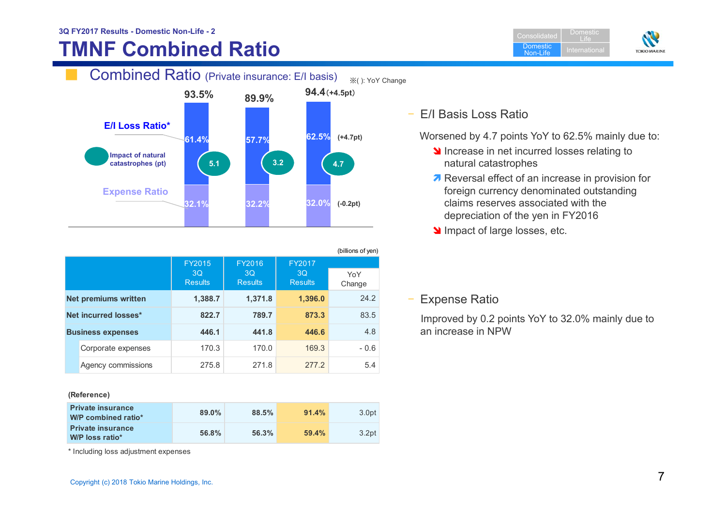# **TMNF Combined Ratio**



|                             |                      | (billions of yen)    |                      |               |
|-----------------------------|----------------------|----------------------|----------------------|---------------|
|                             | FY2015               | FY2016               | FY2017               |               |
|                             | 3Q<br><b>Results</b> | 3Q<br><b>Results</b> | 3Q<br><b>Results</b> | YoY<br>Change |
| <b>Net premiums written</b> | 1,388.7              | 1,371.8              | 1,396.0              | 24.2          |
| Net incurred losses*        | 822.7                | 789.7                | 873.3                | 83.5          |
| <b>Business expenses</b>    | 446.1                | 441.8                | 446.6                | 4.8           |
| Corporate expenses          | 170.3                | 170.0                | 169.3                | $-0.6$        |
| Agency commissions          | 275.8                | 271.8                | 277.2                | 5.4           |

#### **(Reference)**

| <b>Private insurance</b><br>W/P combined ratio* | $89.0\%$ | 88.5% | 91.4% | 3.0pt             |
|-------------------------------------------------|----------|-------|-------|-------------------|
| <b>Private insurance</b><br>W/P loss ratio*     | 56.8%    | 56.3% | 59.4% | 3.2 <sub>pt</sub> |

\* Including loss adjustment expenses

#### **Consolidated Domestic**  Non-LifeDomestic Life



## – E/I Basis Loss Ratio

Worsened by 4.7 points YoY to 62.5% mainly due to:

- Increase in net incurred losses relating to natural catastrophes
- Reversal effect of an increase in provision for foreign currency denominated outstanding claims reserves associated with the depreciation of the yen in FY2016
- Impact of large losses, etc.

#### – Expense Ratio

Improved by 0.2 points YoY to 32.0% mainly due to an increase in NPW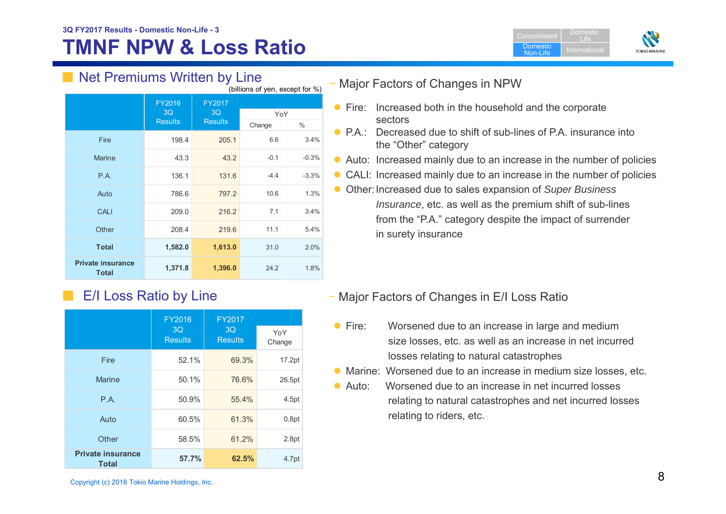# **TMNF NPW & Loss Ratio**



## ■ Net Premiums Written by Line

|                                          | (billions of yen, except for %) |                |        |         |
|------------------------------------------|---------------------------------|----------------|--------|---------|
|                                          | FY2016<br>3Q                    | FY2017<br>3Q   | YoY    |         |
|                                          | <b>Results</b>                  | <b>Results</b> | Change | $\%$    |
| Fire                                     | 198.4                           | 205.1          | 6.6    | 3.4%    |
| <b>Marine</b>                            | 43.3                            | 43.2           | $-0.1$ | $-0.3%$ |
| P.A.                                     | 136.1                           | 131.6          | $-4.4$ | $-3.3%$ |
| Auto                                     | 786.6                           | 797.2          | 10.6   | 1.3%    |
| <b>CALI</b>                              | 209.0                           | 216.2          | 7.1    | 3.4%    |
| Other                                    | 208.4                           | 219.6          | 11.1   | 5.4%    |
| <b>Total</b>                             | 1,582.0                         | 1,613.0        | 31.0   | 2.0%    |
| <b>Private insurance</b><br><b>Total</b> | 1,371.8                         | 1,396.0        | 24.2   | 1.8%    |

|                                          | FY2016               | FY2017               |               |
|------------------------------------------|----------------------|----------------------|---------------|
|                                          | 3Q<br><b>Results</b> | 3Q<br><b>Results</b> | YoY<br>Change |
| Fire                                     | 52.1%                | 69.3%                | 17.2pt        |
| <b>Marine</b>                            | 50.1%                | 76.6%                | 26.5pt        |
| P.A.                                     | 50.9%                | 55.4%                | 4.5pt         |
| Auto                                     | 60.5%                | 61.3%                | 0.8pt         |
| Other                                    | 58.5%                | 61.2%                | 2.8pt         |
| <b>Private insurance</b><br><b>Total</b> | 57.7%                | 62.5%                | 4.7pt         |

#### – Major Factors of Changes in NPW

- **Fire:** Increased both in the household and the corporate sectors
- P.A.: Decreased due to shift of sub-lines of P.A. insurance into the "Other" category
- Auto: Increased mainly due to an increase in the number of policies
- CALI: Increased mainly due to an increase in the number of policies
- Other:Increased due to sales expansion of *Super Business Insurance*, etc. as well as the premium shift of sub-lines from the "P.A." category despite the impact of surrender in surety insurance

#### E/I Loss Ratio by Line – Major Factors of Changes in E/I Loss Ratio

- $\bullet$  Fire: Worsened due to an increase in large and medium size losses, etc. as well as an increase in net incurred losses relating to natural catastrophes
- **Marine: Worsened due to an increase in medium size losses, etc.**
- $\bullet$  Auto: Worsened due to an increase in net incurred losses relating to natural catastrophes and net incurred losses relating to riders, etc.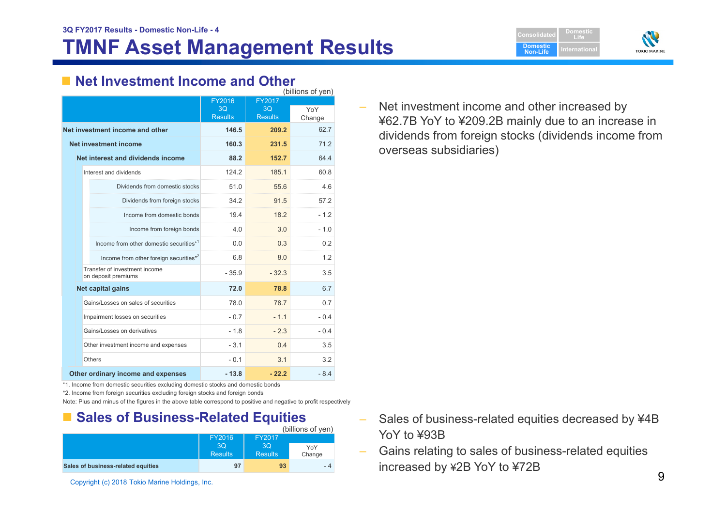### ■ Net Investment Income and Other

|                              |                                                      |                                |                                | (billions of yen) |
|------------------------------|------------------------------------------------------|--------------------------------|--------------------------------|-------------------|
|                              |                                                      | FY2016<br>3Q<br><b>Results</b> | FY2017<br>3Q<br><b>Results</b> | YoY<br>Change     |
|                              | Net investment income and other                      | 146.5                          | 209.2                          | 62.7              |
| <b>Net investment income</b> |                                                      | 160.3                          | 231.5                          | 71.2              |
|                              | Net interest and dividends income                    | 88.2                           | 152.7                          | 644               |
|                              | Interest and dividends                               | 124.2                          | 185.1                          | 60.8              |
|                              | Dividends from domestic stocks                       | 51.0                           | 55.6                           | 4.6               |
|                              | Dividends from foreign stocks                        | 34.2                           | 91.5                           | 57.2              |
|                              | Income from domestic bonds                           | 19.4                           | 18.2                           | $-1.2$            |
|                              | Income from foreign bonds                            | 4.0                            | 3.0                            | $-1.0$            |
|                              | Income from other domestic securities*1              | 0.0                            | 0.3                            | 0.2               |
|                              | Income from other foreign securities*2               | 6.8                            | 8.0                            | 1.2               |
|                              | Transfer of investment income<br>on deposit premiums | $-35.9$                        | $-32.3$                        | 3.5               |
| Net capital gains            |                                                      | 72.0                           | 78.8                           | 6.7               |
|                              | Gains/Losses on sales of securities                  | 78.0                           | 78.7                           | 0.7               |
|                              | Impairment losses on securities                      | $-0.7$                         | $-1.1$                         | $-0.4$            |
|                              | Gains/Losses on derivatives                          | $-1.8$                         | $-2.3$                         | $-0.4$            |
|                              | Other investment income and expenses                 | $-3.1$                         | 0.4                            | 3.5               |
| Others                       |                                                      | $-0.1$                         | 3.1                            | 3.2               |
|                              | Other ordinary income and expenses                   | $-13.8$                        | - 22.2                         | $-8.4$            |

\*1. Income from domestic securities excluding domestic stocks and domestic bonds

\*2. Income from foreign securities excluding foreign stocks and foreign bonds

Note: Plus and minus of the figures in the above table correspond to positive and negative to profit respectively

### ■ Sales of Business-Related Equities

|                                    | FY2016               | FY2017               | (billions of yen) |  |
|------------------------------------|----------------------|----------------------|-------------------|--|
|                                    | 3Q<br><b>Results</b> | 3O<br><b>Results</b> | YoY<br>Change     |  |
| Sales of business-related equities | 97                   | 93                   | - 4               |  |

Copyright (c) 2018 Tokio Marine Holdings, Inc.

 Net investment income and other increased by ¥62.7B YoY to ¥209.2B mainly due to an increase in dividends from foreign stocks (dividends income from overseas subsidiaries)

**ConsolidatedDomesticNon-Life**

**DomesticLife**

**TOKIO MARINE** 

- – Sales of business-related equities decreased by ¥4B YoY to ¥93B
- – Gains relating to sales of business-related equities increased by ¥2B YoY to ¥72B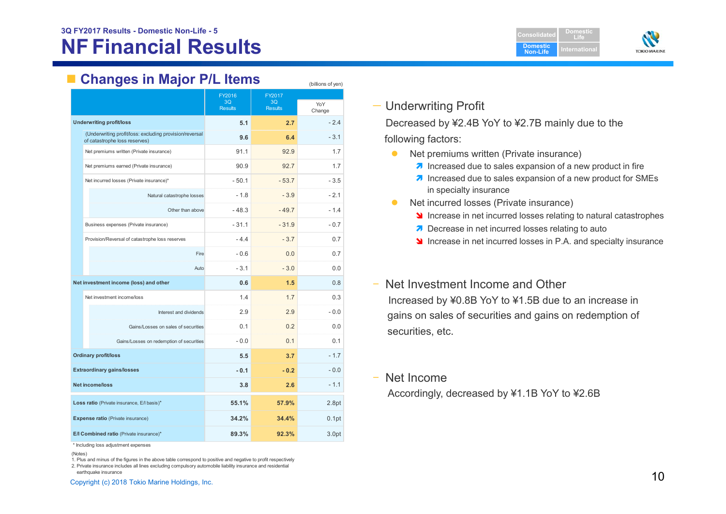| <b>Consolidated</b>                | <b>Domestic</b> |
|------------------------------------|-----------------|
| <b>Domestic</b><br><b>Non-Life</b> | International   |



## **Changes in Major P/L Items**

|                                                                                          | FY2016               | FY2017               |               |
|------------------------------------------------------------------------------------------|----------------------|----------------------|---------------|
|                                                                                          | 3Q<br><b>Results</b> | 3Q<br><b>Results</b> | YoY<br>Change |
| <b>Underwriting profit/loss</b>                                                          | 5.1                  | 2.7                  | $-2.4$        |
| (Underwriting profit/loss: excluding provision/reversal<br>of catastrophe loss reserves) | 9.6                  | 6.4                  | $-3.1$        |
| Net premiums written (Private insurance)                                                 | 91.1                 | 92.9                 | 1.7           |
| Net premiums earned (Private insurance)                                                  | 90.9                 | 92.7                 | 1.7           |
| Net incurred losses (Private insurance)*                                                 | $-50.1$              | $-53.7$              | $-3.5$        |
| Natural catastrophe losses                                                               | $-1.8$               | $-3.9$               | $-2.1$        |
| Other than above                                                                         | $-48.3$              | $-49.7$              | $-1.4$        |
| Business expenses (Private insurance)                                                    | $-31.1$              | $-31.9$              | $-0.7$        |
| Provision/Reversal of catastrophe loss reserves                                          | $-4.4$               | $-3.7$               | 0.7           |
| Fire                                                                                     | $-0.6$               | 0.0                  | 0.7           |
| Auto                                                                                     | $-3.1$               | $-3.0$               | 0.0           |
| Net investment income (loss) and other                                                   | 0.6                  | 1.5                  | 0.8           |
| Net investment income/loss                                                               | 1.4                  | 17                   | 0.3           |
| Interest and dividends                                                                   | 2.9                  | 2.9                  | $-0.0$        |
| Gains/Losses on sales of securities                                                      | 0.1                  | 0.2                  | 0.0           |
| Gains/Losses on redemption of securities                                                 | $-0.0$               | 0 <sub>1</sub>       | 0.1           |
| <b>Ordinary profit/loss</b>                                                              | 5.5                  | 3.7                  | $-1.7$        |
| <b>Extraordinary gains/losses</b>                                                        | $-0.1$               | $-0.2$               | $-0.0$        |
| Net income/loss                                                                          | 3.8                  | 2.6                  | $-1.1$        |
| Loss ratio (Private insurance, E/I basis)*                                               | 55.1%                | 57.9%                | 2.8pt         |
| <b>Expense ratio</b> (Private insurance)                                                 | 34.2%                | 34.4%                | 0.1pt         |
| E/I Combined ratio (Private insurance)*                                                  | 89.3%                | 92.3%                | 3.0pt         |

\* Including loss adjustment expenses

1. Plus and minus of the figures in the above table correspond to positive and negative to profit respectively 2. Private insurance includes all lines excluding compulsory automobile liability insurance and residential earthquake insurance

#### — Underwriting Profit

(billions of yen)

Decreased by ¥2.4B YoY to ¥2.7B mainly due to the following factors:

- $\bullet$  Net premiums written (Private insurance)
	- $\lambda$  Increased due to sales expansion of a new product in fire
	- **7** Increased due to sales expansion of a new product for SMEs in specialty insurance
- $\bullet$  Net incurred losses (Private insurance)
	- **If** Increase in net incurred losses relating to natural catastrophes
	- **7** Decrease in net incurred losses relating to auto
	- **If** Increase in net incurred losses in P.A. and specialty insurance

#### ‒Net Investment Income and Other

Increased by ¥0.8B YoY to ¥1.5B due to an increase in gains on sales of securities and gains on redemption of securities, etc.

#### ‒ Net Income

Accordingly, decreased by ¥1.1B YoY to ¥2.6B

<sup>(</sup>Notes)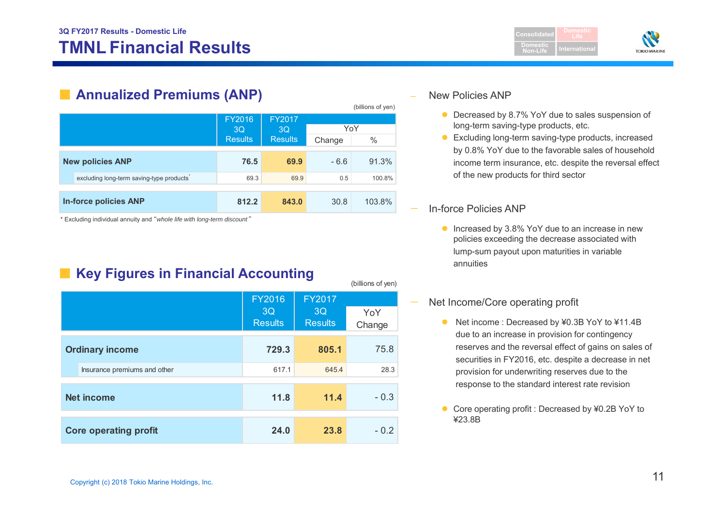# **TMNL Financial Results**



## ■ **Annualized Premiums (ANP)**

|                                          |                                |                |        | (billions of yen) |
|------------------------------------------|--------------------------------|----------------|--------|-------------------|
|                                          | FY2016<br>3Q<br><b>Results</b> | FY2017<br>3Q   | YoY    |                   |
|                                          |                                | <b>Results</b> | Change | $\%$              |
| <b>New policies ANP</b>                  | 76.5                           | 69.9           | $-6.6$ | 91.3%             |
| excluding long-term saving-type products | 69.3                           | 69.9           | 0.5    | 100.8%            |
| <b>In-force policies ANP</b>             | 812.2                          | 843.0          | 30.8   | 103.8%            |

\* Excluding individual annuity and "*whole life with long-term discount* "

## **Key Figures in Financial Accounting**

|                              | <b>FY2016</b><br>3Q<br><b>Results</b> | <b>FY2017</b><br>3Q<br><b>Results</b> | YoY<br>Change |
|------------------------------|---------------------------------------|---------------------------------------|---------------|
| <b>Ordinary income</b>       | 729.3                                 | 805.1                                 | 75.8          |
| Insurance premiums and other | 617.1                                 | 645.4                                 | 28.3          |
| <b>Net income</b>            | 11.8                                  | 11.4                                  | $-0.3$        |
| <b>Core operating profit</b> | 24.0                                  | 23.8                                  | $-0.2$        |

#### New Policies ANP

- Decreased by 8.7% YoY due to sales suspension of long-term saving-type products, etc.
- Excluding long-term saving-type products, increased by 0.8% YoY due to the favorable sales of household income term insurance, etc. despite the reversal effect of the new products for third sector

#### In-force Policies ANP

(billions of yen)

● Increased by 3.8% YoY due to an increase in new policies exceeding the decrease associated with lump-sum payout upon maturities in variable annuities

#### Net Income/Core operating profit

- Net income : Decreased by ¥0.3B YoY to ¥11.4B due to an increase in provision for contingency reserves and the reversal effect of gains on sales of securities in FY2016, etc. despite a decrease in net provision for underwriting reserves due to the response to the standard interest rate revision
- Core operating profit : Decreased by ¥0.2B YoY to ¥23.8B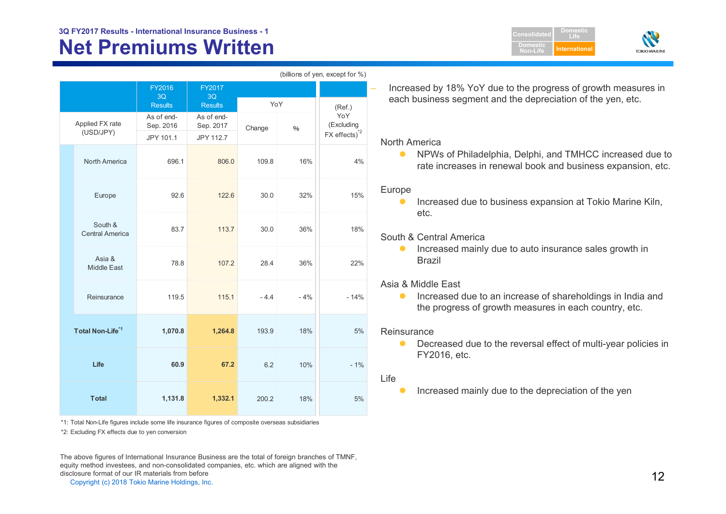#### **3Q FY2017 Results - International Insurance Business - 1 Consolidated**

# **Net Premiums Written**

**DomesticInternational TOKIO MARINE Non-Life**

**DomesticLife**

|                              |                                   |                         |                         |        |               | -,  - - - p - .             |  |
|------------------------------|-----------------------------------|-------------------------|-------------------------|--------|---------------|-----------------------------|--|
|                              |                                   | <b>FY2016</b><br>3Q     | FY2017<br>3Q            |        |               |                             |  |
|                              |                                   | <b>Results</b>          | <b>Results</b>          |        | YoY           | (Ref.)<br>YoY<br>(Excluding |  |
| Applied FX rate              |                                   | As of end-<br>Sep. 2016 | As of end-<br>Sep. 2017 | Change | $\frac{0}{6}$ |                             |  |
|                              | (USD/JPY)                         | JPY 101.1               | JPY 112.7               |        |               | $FX$ effects) <sup>*2</sup> |  |
|                              | <b>North America</b>              | 696.1                   | 806.0                   | 109.8  | 16%           | 4%                          |  |
|                              | Europe                            | 92.6                    | 122.6                   | 30.0   | 32%           | 15%                         |  |
|                              | South &<br><b>Central America</b> | 83.7                    | 113.7                   | 30.0   | 36%           | 18%                         |  |
|                              | Asia &<br>Middle East             | 78.8                    | 107.2                   | 28.4   | 36%           | 22%                         |  |
|                              | Reinsurance                       | 119.5                   | 115.1                   | $-4.4$ | $-4%$         | $-14%$                      |  |
| Total Non-Life <sup>*1</sup> |                                   | 1,070.8                 | 1,264.8                 | 193.9  | 18%           | 5%                          |  |
| Life                         |                                   | 60.9                    | 67.2                    | 6.2    | 10%           | $-1%$                       |  |
|                              | <b>Total</b>                      | 1,131.8                 | 1,332.1                 | 200.2  | 18%           | 5%                          |  |

\*1: Total Non-Life figures include some life insurance figures of composite overseas subsidiaries

\*2: Excluding FX effects due to yen conversion

closure format of our IR materials from before **12 April 12 April 2018 12 April 2018**<br>Copyright (c) 2018 Tokio Marine Holdings, Inc. 12 April 2019 12 April 2019 12 April 2019 12 April 2018 Tokio Marine Holdings, Inc. 12 Ap The above figures of International Insurance Business are the total of foreign branches of TMNF, equity method investees, and non-consolidated companies, etc. which are aligned with the disclosure format of our IR materials from before

 Increased by 18% YoY due to the progress of growth measures in each business segment and the depreciation of the yen, etc.

#### North America

 $\bullet$  NPWs of Philadelphia, Delphi, and TMHCC increased due to rate increases in renewal book and business expansion, etc.

#### Europe

(billions of yen, except for %)

 $\bullet$  Increased due to business expansion at Tokio Marine Kiln, etc.

South & Central America

 $\bullet$  Increased mainly due to auto insurance sales growth in Brazil

#### Asia & Middle East

 $\bullet$  Increased due to an increase of shareholdings in India and the progress of growth measures in each country, etc.

#### Reinsurance

 $\bullet$  Decreased due to the reversal effect of multi-year policies in FY2016, etc.

#### Life

 $\bullet$ Increased mainly due to the depreciation of the yen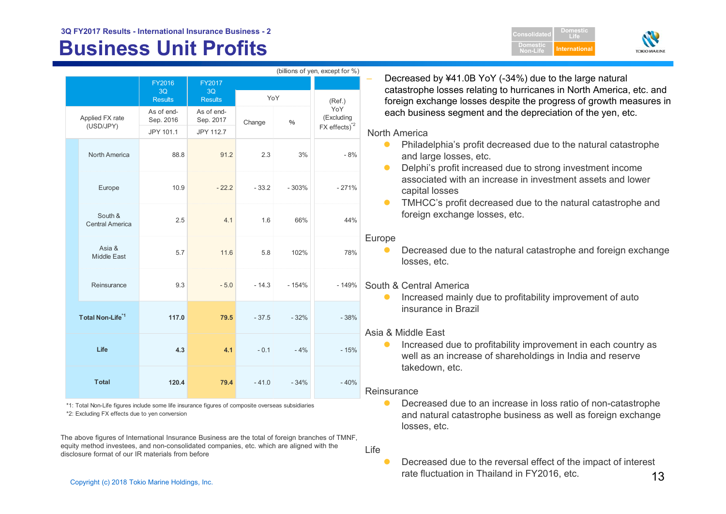# **Business Unit Profits Algorithment Computer Second Profits Algorithment Profits**

**ConsolidatedDomestic Non-LifeDomesticLife**



|                                   |                                                                  |                         |         | (billions of yen, except for %) |                             |                                                                                                                                                                                        |  |
|-----------------------------------|------------------------------------------------------------------|-------------------------|---------|---------------------------------|-----------------------------|----------------------------------------------------------------------------------------------------------------------------------------------------------------------------------------|--|
|                                   | FY2017<br>FY2016<br>3Q<br>3Q<br><b>Results</b><br><b>Results</b> |                         |         | YoY                             |                             | Decreased by ¥41.0B YoY (-34%) due to the large natural<br>catastrophe losses relating to hurricanes in North America, e<br>foreign exchange losses despite the progress of growth mea |  |
| Applied FX rate                   | As of end-<br>Sep. 2016                                          | As of end-<br>Sep. 2017 | Change  | $\%$                            | YoY<br>(Excluding           | each business segment and the depreciation of the yen, etc.                                                                                                                            |  |
| (USD/JPY)                         | JPY 101.1                                                        | JPY 112.7               |         |                                 | $FX$ effects) <sup>*2</sup> | <b>North America</b>                                                                                                                                                                   |  |
| <b>North America</b>              | 88.8                                                             | 91.2                    | 2.3     | 3%                              | $-8%$                       | Philadelphia's profit decreased due to the natural catast<br>and large losses, etc.<br>Delphi's profit increased due to strong investment incom<br>$\bullet$                           |  |
| Europe                            | 10.9                                                             | $-22.2$                 | $-33.2$ | $-303%$                         | $-271%$                     | associated with an increase in investment assets and lot<br>capital losses<br>$\bullet$                                                                                                |  |
| South &<br><b>Central America</b> | 2.5                                                              | 4.1                     | 1.6     | 66%                             | 44%                         | TMHCC's profit decreased due to the natural catastroph<br>foreign exchange losses, etc.                                                                                                |  |
| Asia &<br><b>Middle East</b>      | 5.7                                                              | 11.6                    | 5.8     | 102%                            | 78%                         | Europe<br>Decreased due to the natural catastrophe and foreign ex<br>losses, etc.                                                                                                      |  |
| Reinsurance                       | 9.3                                                              | $-5.0$                  | $-14.3$ | $-154%$                         | $-149%$                     | South & Central America<br>Increased mainly due to profitability improvement of auto                                                                                                   |  |
| Total Non-Life <sup>*1</sup>      | 117.0                                                            | 79.5                    | $-37.5$ | $-32%$                          | $-38%$                      | insurance in Brazil<br>Asia & Middle East                                                                                                                                              |  |
| Life                              | 4.3                                                              | 4.1                     | $-0.1$  | $-4%$                           | $-15%$                      | Increased due to profitability improvement in each count<br>well as an increase of shareholdings in India and reserve<br>takedown, etc.                                                |  |
| <b>Total</b>                      | 120.4                                                            | 79.4                    | $-41.0$ | $-34%$                          | $-40%$                      | Reinsurance                                                                                                                                                                            |  |

\*2: Excluding FX effects due to yen conversion \*1: Total Non-Life figures include some life insurance figures of composite overseas subsidiaries

The above figures of International Insurance Business are the total of foreign branches of TMNF, equity method investees, and non-consolidated companies, etc. which are aligned with the disclosure format of our IR materials from before

etc. and easures in

- strophe
- **•** Delphi's profit increased due to strong investment income associated with an increase in investment assets and lower lower
- **TMHCC's profit decreased due to the natural catastrophe and**
- exchange

- **Intry as** well as an increase of shareholdings in India and reserve
- $\bullet$  Decreased due to an increase in loss ratio of non-catastrophe and natural catastrophe business as well as foreign exchange losses, etc.

Life

 $\blacksquare$ Copyright (c) 2018 Tokio Marine Holdings, Inc. 13  $\bullet$ Decreased due to the reversal effect of the impact of interest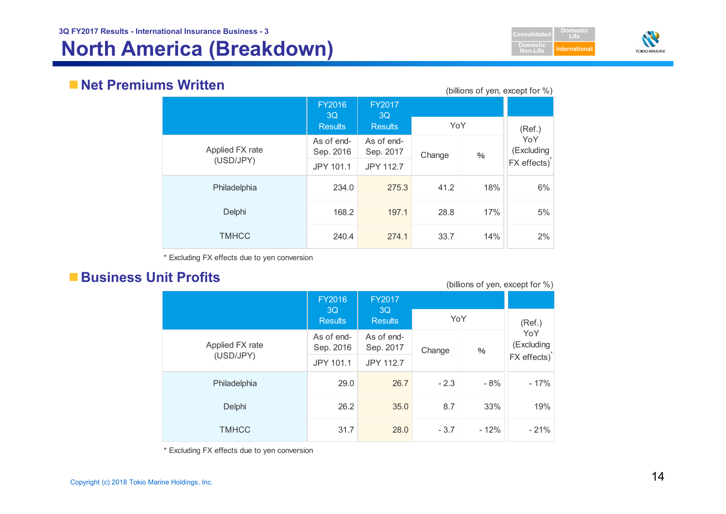# **North America (Breakdown) International**





### **Net Premiums Written**

| IJ VVIILLUII    |                         |                         |        |     | (billions of yen, except for %) |  |
|-----------------|-------------------------|-------------------------|--------|-----|---------------------------------|--|
|                 | FY2016<br>3Q            | <b>FY2017</b><br>3Q     |        |     |                                 |  |
|                 | <b>Results</b>          | <b>Results</b>          | YoY    |     | (Ref.)                          |  |
| Applied FX rate | As of end-<br>Sep. 2016 | As of end-<br>Sep. 2017 | Change | %   | YoY<br>(Excluding               |  |
| (USD/JPY)       | JPY 101.1               | <b>JPY 112.7</b>        |        |     | FX effects)                     |  |
| Philadelphia    | 234.0                   | 275.3                   | 41.2   | 18% | 6%                              |  |
| Delphi          | 168.2                   | 197.1                   | 28.8   | 17% | 5%                              |  |
| <b>TMHCC</b>    | 240.4                   | 274.1                   | 33.7   | 14% | 2%                              |  |

\* Excluding FX effects due to yen conversion

## **Business Unit Profits**

(billions of yen, except for %)

|                 | FY2016                                       | FY2017                  |        |        |                                  |
|-----------------|----------------------------------------------|-------------------------|--------|--------|----------------------------------|
|                 | 3Q<br>3Q<br><b>Results</b><br><b>Results</b> |                         | YoY    | (Ref.) |                                  |
| Applied FX rate | As of end-<br>Sep. 2016                      | As of end-<br>Sep. 2017 | Change | $\%$   | YoY<br>(Excluding<br>FX effects) |
| (USD/JPY)       | JPY 101.1                                    | <b>JPY 112.7</b>        |        |        |                                  |
| Philadelphia    | 29.0                                         | 26.7                    | $-2.3$ | $-8%$  | $-17%$                           |
| Delphi          | 26.2                                         | 35.0                    | 8.7    | 33%    | 19%                              |
| <b>TMHCC</b>    | 31.7                                         | 28.0                    | $-3.7$ | $-12%$ | $-21%$                           |

\* Excluding FX effects due to yen conversion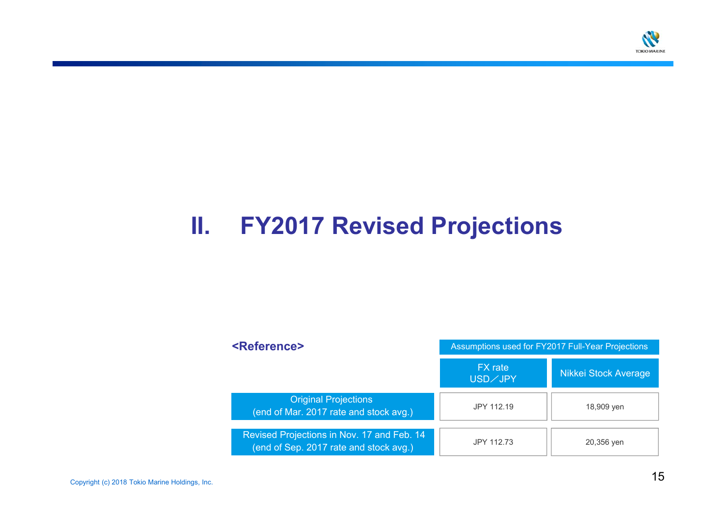

# **II. FY2017 Revised Projections**

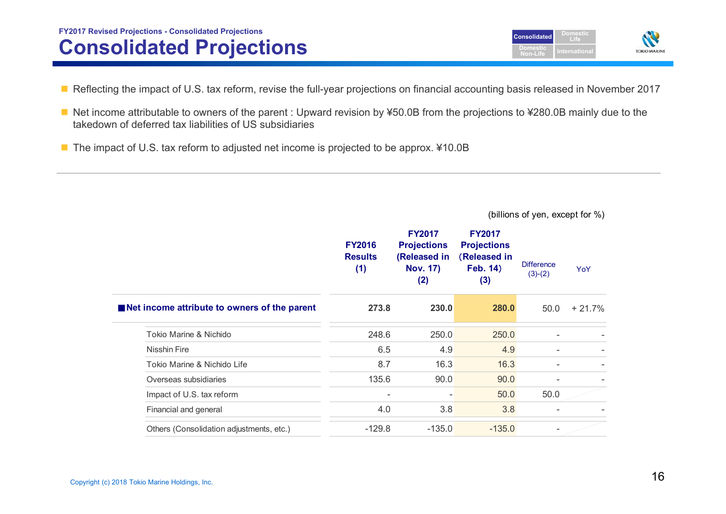

- Reflecting the impact of U.S. tax reform, revise the full-year projections on financial accounting basis released in November 2017
- Net income attributable to owners of the parent : Upward revision by ¥50.0B from the projections to ¥280.0B mainly due to the takedown of deferred tax liabilities of US subsidiaries
- The impact of U.S. tax reform to adjusted net income is projected to be approx. ¥10.0B

(billions of yen, except for %)

|                                              | <b>FY2016</b><br><b>Results</b><br>(1) | <b>FY2017</b><br><b>Projections</b><br>(Released in<br><b>Nov. 17)</b><br>(2) | <b>FY2017</b><br><b>Projections</b><br>(Released in<br><b>Feb. 14)</b><br>(3) | <b>Difference</b><br>$(3)-(2)$ | YoY      |
|----------------------------------------------|----------------------------------------|-------------------------------------------------------------------------------|-------------------------------------------------------------------------------|--------------------------------|----------|
| Net income attribute to owners of the parent | 273.8                                  | 230.0                                                                         | 280.0                                                                         | 50.0                           | $+21.7%$ |
| Tokio Marine & Nichido                       | 248.6                                  | 250.0                                                                         | 250.0                                                                         |                                |          |
| Nisshin Fire                                 | 6.5                                    | 4.9                                                                           | 4.9                                                                           |                                |          |
| Tokio Marine & Nichido Life                  | 8.7                                    | 16.3                                                                          | 16.3                                                                          | $\overline{\phantom{0}}$       |          |
| Overseas subsidiaries                        | 135.6                                  | 90.0                                                                          | 90.0                                                                          |                                |          |
| Impact of U.S. tax reform                    |                                        |                                                                               | 50.0                                                                          | 50.0                           |          |
| Financial and general                        | 4.0                                    | 3.8                                                                           | 3.8                                                                           |                                |          |
| Others (Consolidation adjustments, etc.)     | $-129.8$                               | $-135.0$                                                                      | $-135.0$                                                                      | $\overline{a}$                 |          |